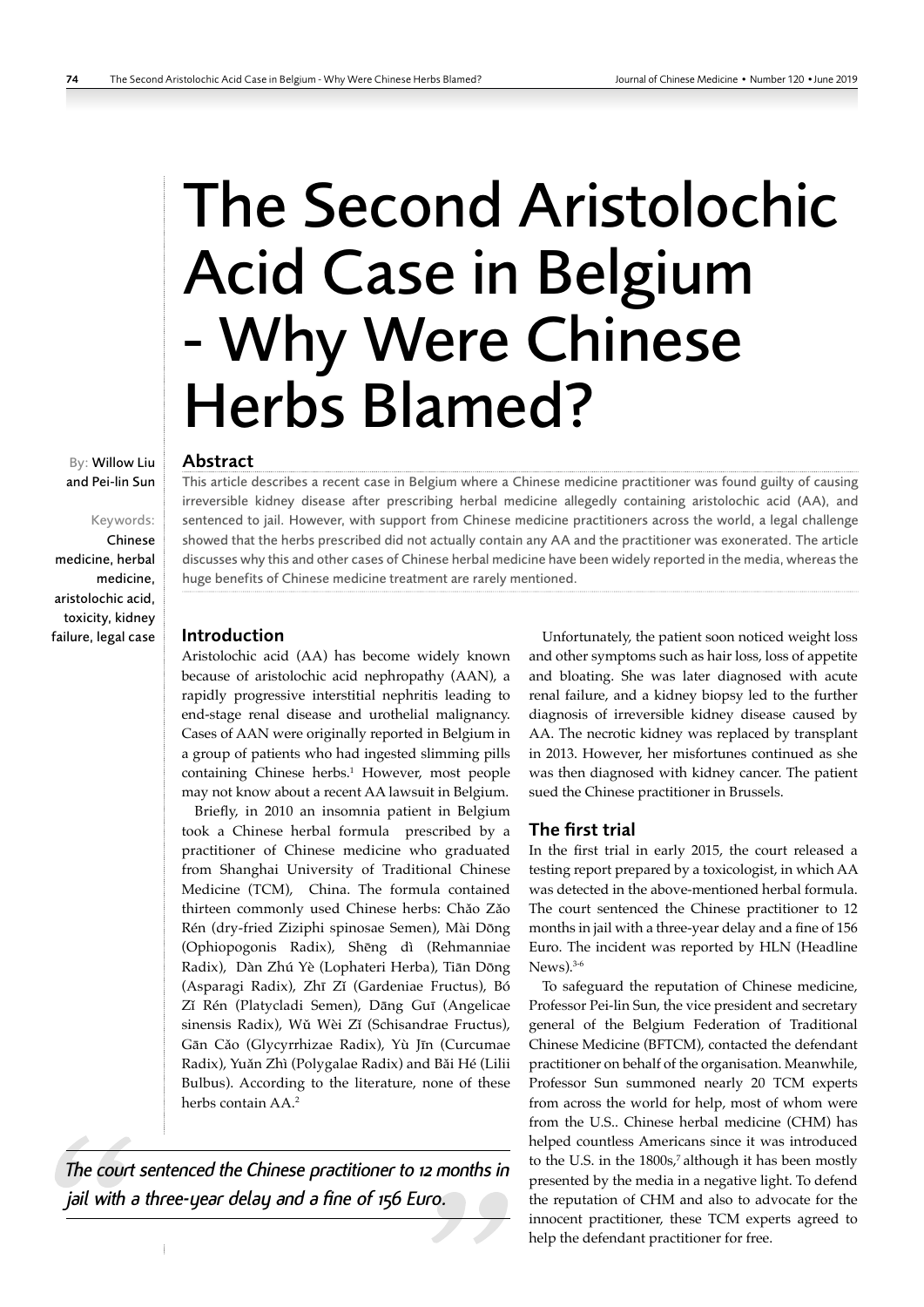# The Second Aristolochic Acid Case in Belgium - Why Were Chinese Herbs Blamed?

#### Abstract

This article describes a recent case in Belgium where a Chinese medicine practitioner was found guilty of causing irreversible kidney disease after prescribing herbal medicine allegedly containing aristolochic acid (AA), and sentenced to jail. However, with support from Chinese medicine practitioners across the world, a legal challenge showed that the herbs prescribed did not actually contain any AA and the practitioner was exonerated. The article discusses why this and other cases of Chinese herbal medicine have been widely reported in the media, whereas the huge benefits of Chinese medicine treatment are rarely mentioned.

## Introduction

Aristolochic acid (AA) has become widely known because of aristolochic acid nephropathy (AAN), a rapidly progressive interstitial nephritis leading to end-stage renal disease and urothelial malignancy. Cases of AAN were originally reported in Belgium in a group of patients who had ingested slimming pills containing Chinese herbs.<sup>1</sup> However, most people may not know about a recent AA lawsuit in Belgium.

Briefly, in 2010 an insomnia patient in Belgium took a Chinese herbal formula prescribed by a practitioner of Chinese medicine who graduated from Shanghai University of Traditional Chinese Medicine (TCM), China. The formula contained thirteen commonly used Chinese herbs: Chǎo Zǎo Rén (dry-fried Ziziphi spinosae Semen), Mài Dōng (Ophiopogonis Radix), Shēng dì (Rehmanniae Radix), Dàn Zhú Yè (Lophateri Herba), Tiān Dōng (Asparagi Radix), Zhī Zǐ (Gardeniae Fructus), Bó Zǐ Rén (Platycladi Semen), Dāng Guī (Angelicae sinensis Radix), Wǔ Wèi Zǐ (Schisandrae Fructus), Gān Cǎo (Glycyrrhizae Radix), Yù Jīn (Curcumae Radix), Yuǎn Zhì (Polygalae Radix) and Bǎi Hé (Lilii Bulbus). According to the literature, none of these herbs contain AA.<sup>2</sup>

*The court sentenced the Chinese practitioner to 12 months in jail with a three-year delay and a fine of 156 Euro.*

 $\mathbf{i}$ 

Unfortunately, the patient soon noticed weight loss and other symptoms such as hair loss, loss of appetite and bloating. She was later diagnosed with acute renal failure, and a kidney biopsy led to the further diagnosis of irreversible kidney disease caused by AA. The necrotic kidney was replaced by transplant in 2013. However, her misfortunes continued as she was then diagnosed with kidney cancer. The patient sued the Chinese practitioner in Brussels.

## The first trial

In the first trial in early 2015, the court released a testing report prepared by a toxicologist, in which AA was detected in the above-mentioned herbal formula. The court sentenced the Chinese practitioner to 12 months in jail with a three-year delay and a fine of 156 Euro. The incident was reported by HLN (Headline  $News).<sup>3-6</sup>$ 

To safeguard the reputation of Chinese medicine, Professor Pei-lin Sun, the vice president and secretary general of the Belgium Federation of Traditional Chinese Medicine (BFTCM), contacted the defendant practitioner on behalf of the organisation. Meanwhile, Professor Sun summoned nearly 20 TCM experts from across the world for help, most of whom were from the U.S.. Chinese herbal medicine (CHM) has helped countless Americans since it was introduced to the U.S. in the 1800s,<sup>7</sup> although it has been mostly presented by the media in a negative light. To defend the reputation of CHM and also to advocate for the innocent practitioner, these TCM experts agreed to help the defendant practitioner for free.

By: Willow Liu and Pei-lin Sun

# Keywords:

Chinese medicine, herbal medicine, aristolochic acid, toxicity, kidney failure, legal case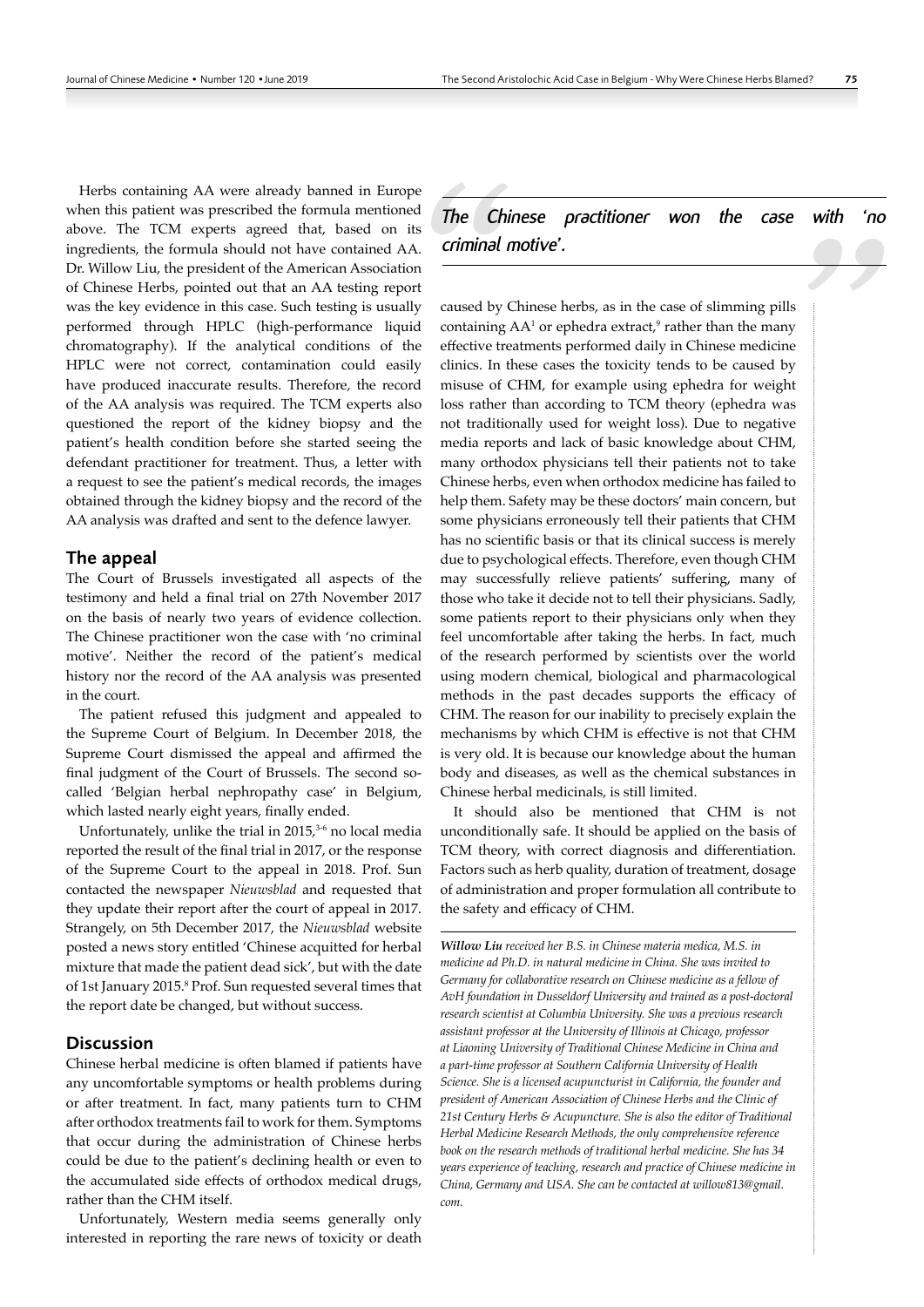Herbs containing AA were already banned in Europe when this patient was prescribed the formula mentioned above. The TCM experts agreed that, based on its ingredients, the formula should not have contained AA. Dr. Willow Liu, the president of the American Association of Chinese Herbs, pointed out that an AA testing report was the key evidence in this case. Such testing is usually performed through HPLC (high-performance liquid chromatography). If the analytical conditions of the HPLC were not correct, contamination could easily have produced inaccurate results. Therefore, the record of the AA analysis was required. The TCM experts also questioned the report of the kidney biopsy and the patient's health condition before she started seeing the defendant practitioner for treatment. Thus, a letter with a request to see the patient's medical records, the images obtained through the kidney biopsy and the record of the AA analysis was drafted and sent to the defence lawyer.

## The appeal

The Court of Brussels investigated all aspects of the testimony and held a final trial on 27th November 2017 on the basis of nearly two years of evidence collection. The Chinese practitioner won the case with 'no criminal motive'. Neither the record of the patient's medical history nor the record of the AA analysis was presented in the court.

The patient refused this judgment and appealed to the Supreme Court of Belgium. In December 2018, the Supreme Court dismissed the appeal and affirmed the final judgment of the Court of Brussels. The second socalled 'Belgian herbal nephropathy case' in Belgium, which lasted nearly eight years, finally ended.

Unfortunately, unlike the trial in  $2015<sub>1</sub><sup>3-6</sup>$  no local media reported the result of the final trial in 2017, or the response of the Supreme Court to the appeal in 2018. Prof. Sun contacted the newspaper *Nieuwsblad* and requested that they update their report after the court of appeal in 2017. Strangely, on 5th December 2017, the *Nieuwsblad* website posted a news story entitled 'Chinese acquitted for herbal mixture that made the patient dead sick', but with the date of 1st January 2015.<sup>8</sup> Prof. Sun requested several times that the report date be changed, but without success.

#### Discussion

Chinese herbal medicine is often blamed if patients have any uncomfortable symptoms or health problems during or after treatment. In fact, many patients turn to CHM after orthodox treatments fail to work for them. Symptoms that occur during the administration of Chinese herbs could be due to the patient's declining health or even to the accumulated side effects of orthodox medical drugs, rather than the CHM itself.

Unfortunately, Western media seems generally only interested in reporting the rare news of toxicity or death *The Chinese practitioner won the case with 'no criminal motive'.* 

caused by Chinese herbs, as in the case of slimming pills containing  $AA^1$  or ephedra extract,<sup>9</sup> rather than the many effective treatments performed daily in Chinese medicine clinics. In these cases the toxicity tends to be caused by misuse of CHM, for example using ephedra for weight loss rather than according to TCM theory (ephedra was not traditionally used for weight loss). Due to negative media reports and lack of basic knowledge about CHM, many orthodox physicians tell their patients not to take Chinese herbs, even when orthodox medicine has failed to help them. Safety may be these doctors' main concern, but some physicians erroneously tell their patients that CHM has no scientific basis or that its clinical success is merely due to psychological effects. Therefore, even though CHM may successfully relieve patients' suffering, many of those who take it decide not to tell their physicians. Sadly, some patients report to their physicians only when they feel uncomfortable after taking the herbs. In fact, much of the research performed by scientists over the world using modern chemical, biological and pharmacological methods in the past decades supports the efficacy of CHM. The reason for our inability to precisely explain the mechanisms by which CHM is effective is not that CHM is very old. It is because our knowledge about the human body and diseases, as well as the chemical substances in Chinese herbal medicinals, is still limited.

It should also be mentioned that CHM is not unconditionally safe. It should be applied on the basis of TCM theory, with correct diagnosis and differentiation. Factors such as herb quality, duration of treatment, dosage of administration and proper formulation all contribute to the safety and efficacy of CHM.

*Willow Liu received her B.S. in Chinese materia medica, M.S. in medicine ad Ph.D. in natural medicine in China. She was invited to Germany for collaborative research on Chinese medicine as a fellow of AvH foundation in Dusseldorf University and trained as a post-doctoral research scientist at Columbia University. She was a previous research assistant professor at the University of Illinois at Chicago, professor at Liaoning University of Traditional Chinese Medicine in China and a part-time professor at Southern California University of Health Science. She is a licensed acupuncturist in California, the founder and president of American Association of Chinese Herbs and the Clinic of 21st Century Herbs & Acupuncture. She is also the editor of Traditional Herbal Medicine Research Methods, the only comprehensive reference book on the research methods of traditional herbal medicine. She has 34 years experience of teaching, research and practice of Chinese medicine in China, Germany and USA. She can be contacted at willow813@gmail. com.*